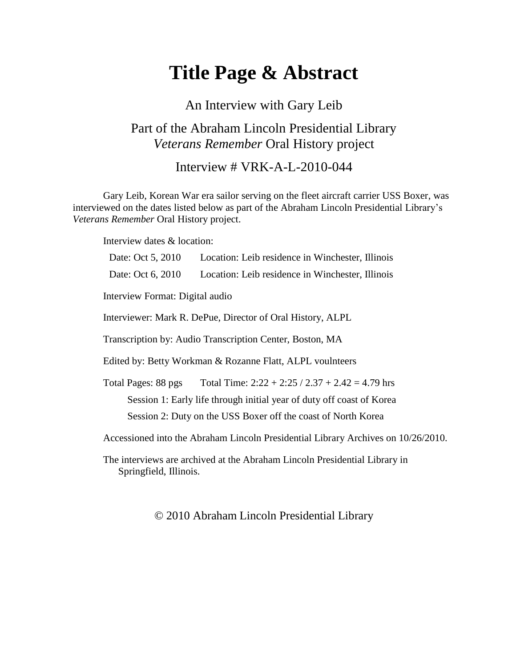# **Title Page & Abstract**

An Interview with Gary Leib Part of the Abraham Lincoln Presidential Library *Veterans Remember* Oral History project

Interview # VRK-A-L-2010-044

Gary Leib, Korean War era sailor serving on the fleet aircraft carrier USS Boxer, was interviewed on the dates listed below as part of the Abraham Lincoln Presidential Library's *Veterans Remember* Oral History project.

Interview dates & location:

| Date: Oct 5, 2010                                                                 | Location: Leib residence in Winchester, Illinois   |
|-----------------------------------------------------------------------------------|----------------------------------------------------|
| Date: Oct 6, 2010                                                                 | Location: Leib residence in Winchester, Illinois   |
| Interview Format: Digital audio                                                   |                                                    |
| Interviewer: Mark R. DePue, Director of Oral History, ALPL                        |                                                    |
| Transcription by: Audio Transcription Center, Boston, MA                          |                                                    |
| Edited by: Betty Workman & Rozanne Flatt, ALPL voulnteers                         |                                                    |
| Total Pages: 88 pgs                                                               | Total Time: $2:22 + 2:25 / 2.37 + 2.42 = 4.79$ hrs |
| Session 1: Early life through initial year of duty off coast of Korea             |                                                    |
| Session 2: Duty on the USS Boxer off the coast of North Korea                     |                                                    |
| Accessioned into the Abraham Lincoln Presidential Library Archives on 10/26/2010. |                                                    |
|                                                                                   |                                                    |

The interviews are archived at the Abraham Lincoln Presidential Library in Springfield, Illinois.

#### © 2010 Abraham Lincoln Presidential Library